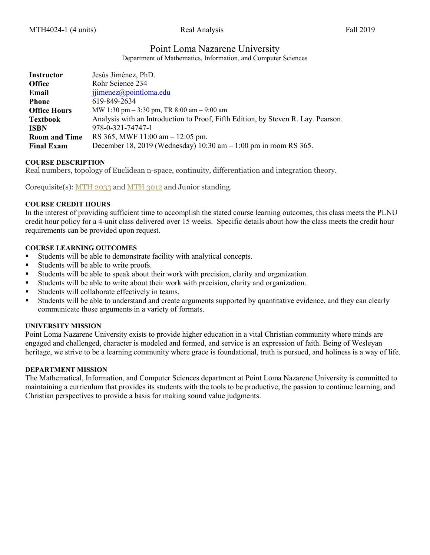# Point Loma Nazarene University

Department of Mathematics, Information, and Computer Sciences

| Instructor           | Jesús Jiménez, PhD.                                                               |
|----------------------|-----------------------------------------------------------------------------------|
| <b>Office</b>        | Rohr Science 234                                                                  |
| Email                | $ijimenez(a)$ pointloma.edu                                                       |
| <b>Phone</b>         | 619-849-2634                                                                      |
| <b>Office Hours</b>  | MW 1:30 pm $-$ 3:30 pm, TR 8:00 am $-$ 9:00 am                                    |
| <b>Textbook</b>      | Analysis with an Introduction to Proof, Fifth Edition, by Steven R. Lay. Pearson. |
| <b>ISBN</b>          | 978-0-321-74747-1                                                                 |
| <b>Room and Time</b> | RS 365, MWF $11:00$ am $-12:05$ pm.                                               |
| <b>Final Exam</b>    | December 18, 2019 (Wednesday) $10:30$ am $-1:00$ pm in room RS 365.               |

#### **COURSE DESCRIPTION**

Real numbers, topology of Euclidean n-space, continuity, differentiation and integration theory.

Corequisite(s): [MTH 2033](https://catalog.pointloma.edu/content.php?filter%5B27%5D=MTH&filter%5B29%5D=4024&filter%5Bcourse_type%5D=-1&filter%5Bkeyword%5D=&filter%5B32%5D=1&filter%5Bcpage%5D=1&cur_cat_oid=41&expand=&navoid=2443&search_database=Filter#tt6829) and [MTH 3012](https://catalog.pointloma.edu/content.php?filter%5B27%5D=MTH&filter%5B29%5D=4024&filter%5Bcourse_type%5D=-1&filter%5Bkeyword%5D=&filter%5B32%5D=1&filter%5Bcpage%5D=1&cur_cat_oid=41&expand=&navoid=2443&search_database=Filter#tt384) and Junior standing.

## **COURSE CREDIT HOURS**

In the interest of providing sufficient time to accomplish the stated course learning outcomes, this class meets the PLNU credit hour policy for a 4-unit class delivered over 15 weeks. Specific details about how the class meets the credit hour requirements can be provided upon request.

#### **COURSE LEARNING OUTCOMES**

- Students will be able to demonstrate facility with analytical concepts.
- Students will be able to write proofs.
- Students will be able to speak about their work with precision, clarity and organization.
- Students will be able to write about their work with precision, clarity and organization.
- Students will collaborate effectively in teams.
- Students will be able to understand and create arguments supported by quantitative evidence, and they can clearly communicate those arguments in a variety of formats.

#### **UNIVERSITY MISSION**

Point Loma Nazarene University exists to provide higher education in a vital Christian community where minds are engaged and challenged, character is modeled and formed, and service is an expression of faith. Being of Wesleyan heritage, we strive to be a learning community where grace is foundational, truth is pursued, and holiness is a way of life.

#### **DEPARTMENT MISSION**

The Mathematical, Information, and Computer Sciences department at Point Loma Nazarene University is committed to maintaining a curriculum that provides its students with the tools to be productive, the passion to continue learning, and Christian perspectives to provide a basis for making sound value judgments.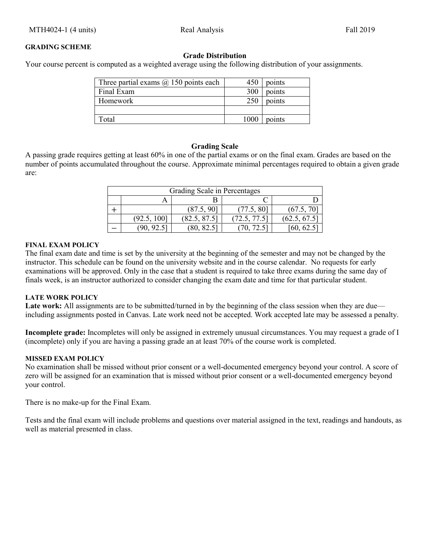# **Grade Distribution**

Your course percent is computed as a weighted average using the following distribution of your assignments.

| Three partial exams $\omega$ 150 points each | 450  | points |
|----------------------------------------------|------|--------|
| Final Exam                                   | 300  | points |
| Homework                                     | 250  | points |
|                                              |      |        |
| Total                                        | 1000 | points |

## **Grading Scale**

A passing grade requires getting at least 60% in one of the partial exams or on the final exam. Grades are based on the number of points accumulated throughout the course. Approximate minimal percentages required to obtain a given grade are:

| Grading Scale in Percentages |             |              |             |              |  |
|------------------------------|-------------|--------------|-------------|--------------|--|
|                              |             |              |             |              |  |
|                              |             | (87.5, 90]   | (77.5, 80]  | (67.5, 70)   |  |
|                              | (92.5, 100] | (82.5, 87.5) | 72.5, 77.5] | (62.5, 67.5) |  |
|                              |             |              |             |              |  |

#### **FINAL EXAM POLICY**

The final exam date and time is set by the university at the beginning of the semester and may not be changed by the instructor. This schedule can be found on the university website and in the course calendar. No requests for early examinations will be approved. Only in the case that a student is required to take three exams during the same day of finals week, is an instructor authorized to consider changing the exam date and time for that particular student.

## **LATE WORK POLICY**

Late work: All assignments are to be submitted/turned in by the beginning of the class session when they are due including assignments posted in Canvas. Late work need not be accepted. Work accepted late may be assessed a penalty.

**Incomplete grade:** Incompletes will only be assigned in extremely unusual circumstances. You may request a grade of I (incomplete) only if you are having a passing grade an at least 70% of the course work is completed.

## **MISSED EXAM POLICY**

No examination shall be missed without prior consent or a well-documented emergency beyond your control. A score of zero will be assigned for an examination that is missed without prior consent or a well-documented emergency beyond your control.

There is no make-up for the Final Exam.

Tests and the final exam will include problems and questions over material assigned in the text, readings and handouts, as well as material presented in class.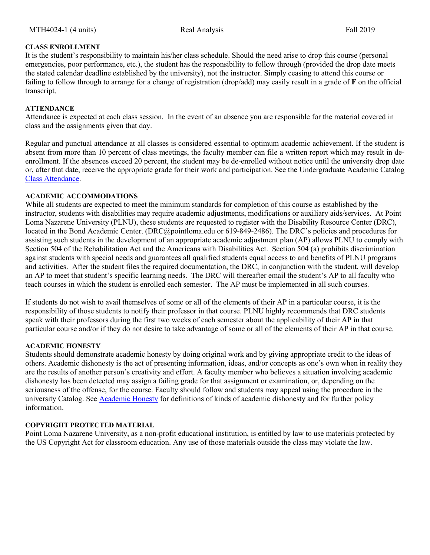## **CLASS ENROLLMENT**

It is the student's responsibility to maintain his/her class schedule. Should the need arise to drop this course (personal emergencies, poor performance, etc.), the student has the responsibility to follow through (provided the drop date meets the stated calendar deadline established by the university), not the instructor. Simply ceasing to attend this course or failing to follow through to arrange for a change of registration (drop/add) may easily result in a grade of **F** on the official transcript.

## **ATTENDANCE**

Attendance is expected at each class session. In the event of an absence you are responsible for the material covered in class and the assignments given that day.

Regular and punctual attendance at all classes is considered essential to optimum academic achievement. If the student is absent from more than 10 percent of class meetings, the faculty member can file a written report which may result in deenrollment. If the absences exceed 20 percent, the student may be de-enrolled without notice until the university drop date or, after that date, receive the appropriate grade for their work and participation. See the Undergraduate Academic Catalog [Class Attendance.](https://catalog.pointloma.edu/content.php?catoid=35&navoid=2136#Class_Attendance)

## **ACADEMIC ACCOMMODATIONS**

While all students are expected to meet the minimum standards for completion of this course as established by the instructor, students with disabilities may require academic adjustments, modifications or auxiliary aids/services. At Point Loma Nazarene University (PLNU), these students are requested to register with the Disability Resource Center (DRC), located in the Bond Academic Center. (DRC@pointloma.edu or 619-849-2486). The DRC's policies and procedures for assisting such students in the development of an appropriate academic adjustment plan (AP) allows PLNU to comply with Section 504 of the Rehabilitation Act and the Americans with Disabilities Act. Section 504 (a) prohibits discrimination against students with special needs and guarantees all qualified students equal access to and benefits of PLNU programs and activities. After the student files the required documentation, the DRC, in conjunction with the student, will develop an AP to meet that student's specific learning needs. The DRC will thereafter email the student's AP to all faculty who teach courses in which the student is enrolled each semester. The AP must be implemented in all such courses.

If students do not wish to avail themselves of some or all of the elements of their AP in a particular course, it is the responsibility of those students to notify their professor in that course. PLNU highly recommends that DRC students speak with their professors during the first two weeks of each semester about the applicability of their AP in that particular course and/or if they do not desire to take advantage of some or all of the elements of their AP in that course.

#### **ACADEMIC HONESTY**

Students should demonstrate academic honesty by doing original work and by giving appropriate credit to the ideas of others. Academic dishonesty is the act of presenting information, ideas, and/or concepts as one's own when in reality they are the results of another person's creativity and effort. A faculty member who believes a situation involving academic dishonesty has been detected may assign a failing grade for that assignment or examination, or, depending on the seriousness of the offense, for the course. Faculty should follow and students may appeal using the procedure in the university Catalog. See [Academic Honesty](https://catalog.pointloma.edu/content.php?catoid=35&navoid=2136#Academic_Honesty) for definitions of kinds of academic dishonesty and for further policy information.

#### **COPYRIGHT PROTECTED MATERIAL**

Point Loma Nazarene University, as a non-profit educational institution, is entitled by law to use materials protected by the US Copyright Act for classroom education. Any use of those materials outside the class may violate the law.